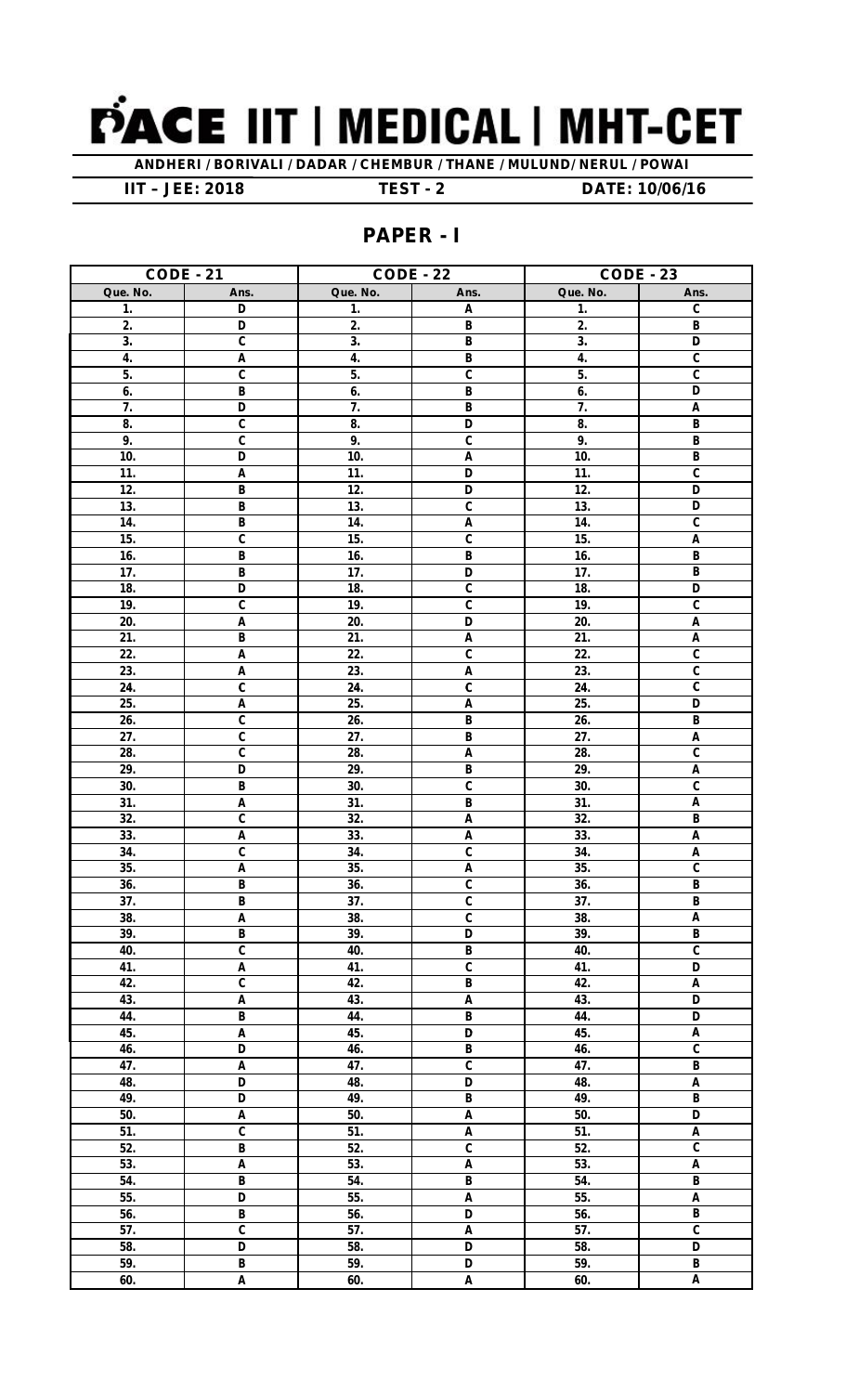

ANDHERI / BORIVALI / DADAR / CHEMBUR / THANE / MULUND/ NERUL / POWAI

**IIT - JEE: 2018** 

**TEST - 2** 

DATE: 10/06/16

## **PAPER - I**

| <b>CODE - 21</b>  |                                  | <b>CODE - 22</b>         |                                                      | <b>CODE - 23</b>          |                                             |
|-------------------|----------------------------------|--------------------------|------------------------------------------------------|---------------------------|---------------------------------------------|
| Que. No.          | Ans.                             | Que. No.                 | Ans.                                                 | Que. No.                  | Ans.                                        |
| 1.                | D                                | 1.                       | $\mathbf{A}$                                         | $\mathbf{1}$ .            | $\mathbf{C}$                                |
| 2.                | D                                | 2.                       | B                                                    | 2.                        | $\overline{B}$                              |
| 3.                | $\overline{\mathfrak{c}}$        | 3.                       | $\overline{\mathbf{B}}$                              | $\overline{\mathbf{3}}$ . | D                                           |
| 4.                | A                                | 4.                       | B                                                    | 4.                        | $\mathbf c$                                 |
| 5.                | $\mathbf c$                      | 5.                       | $\mathbf{C}$                                         | 5.                        | $\mathbf c$                                 |
| 6.                | B                                | 6.                       | B                                                    | 6.                        | D                                           |
| 7.                | D                                | 7.                       | $\overline{\mathsf{B}}$                              | 7.                        | A                                           |
| 8.                | $\overline{\mathfrak{c}}$        | 8.                       | D                                                    | 8.                        | B                                           |
| 9.                | $\overline{\mathfrak{c}}$        | 9.                       | $\overline{\mathfrak{c}}$                            | 9.                        | $\, {\bf B}$                                |
| 10.               | D                                | 10.                      | A                                                    | 10.                       | B                                           |
| 11.               | A                                | 11.                      | D                                                    | 11.                       | $\mathbf c$                                 |
| 12.               | B                                | 12.                      | D                                                    | 12.                       | D                                           |
| 13.               | B                                | 13.                      | $\mathsf C$                                          | 13.                       | D                                           |
| 14.               | B                                | 14.                      | Α                                                    | 14.                       | $\mathbf c$                                 |
| 15.               | C                                | 15.                      | $\overline{\mathfrak{c}}$                            | 15.                       | A                                           |
| 16.               | B                                | 16.                      | B                                                    | 16.                       | B                                           |
| 17.               | B                                | 17.                      | D                                                    | 17.                       | $\, {\bf B}$                                |
| 18.               | D                                | 18.                      | $\overline{\mathfrak{c}}$                            | 18.                       | D                                           |
| 19.               | C                                | 19.                      | $\overline{\mathfrak{c}}$                            | 19.                       | $\overline{c}$                              |
| 20.               | A                                | 20.                      | D                                                    | 20.                       | A                                           |
| 21.               | B                                | 21.                      | A                                                    | 21.                       | A                                           |
| 22.               | A                                | 22.                      | $\mathbf{C}$                                         | 22.                       | $\overline{c}$                              |
| $\overline{23}$ . | A                                | 23.                      | A                                                    | $\overline{23}$ .         | C                                           |
| 24.               | C                                | 24.                      | $\mathbf{C}$                                         | 24.                       | $\mathbf c$                                 |
| 25.               | A                                | 25.                      | A                                                    | 25.                       | D                                           |
| 26.               | C                                | 26.                      | B                                                    | 26.                       | B                                           |
| $\overline{27}$ . | $\overline{\mathfrak{c}}$        | $\overline{27}$ .        | $\overline{\mathsf{B}}$                              | $\overline{27}$ .         | A                                           |
| 28.               | $\overline{\mathfrak{c}}$        | 28.                      | A                                                    | 28.                       | $\mathbf c$                                 |
| 29.               | D                                | 29.                      | B                                                    | 29.                       | $\overline{A}$                              |
| 30.               | B                                | 30.                      | $\overline{\mathfrak{c}}$                            | 30.                       | $\overline{c}$                              |
| 31.               | $\overline{A}$                   | 31.                      | $\overline{\mathsf{B}}$                              | 31.                       | A                                           |
| 32.               | C                                | 32.                      | A                                                    | 32.                       | $\mathsf B$                                 |
| 33.               | A                                | 33.                      | A                                                    | 33.                       | $\pmb{\mathsf{A}}$                          |
| 34.               | C                                | 34.                      | $\overline{\mathfrak{c}}$                            | 34.                       | A                                           |
| 35.               | $\overline{\mathsf{A}}$          | 35.                      | Ā                                                    | 35.                       | C                                           |
| 36.               | $\overline{\mathbf{B}}$          | 36.                      | $\overline{\mathbf{c}}$<br>$\overline{\mathfrak{c}}$ | 36.                       | $\overline{B}$                              |
| 37.               | $\overline{\mathsf{B}}$          | 37.                      |                                                      | $\overline{37}$ .         | B                                           |
| 38.               | $\overline{A}$<br>$\overline{B}$ | 38.                      | $\overline{\mathfrak{c}}$                            | 38.                       | $\overline{A}$                              |
| 39.<br>40.        | $\overline{\mathfrak{c}}$        | 39.<br>40.               | $\overline{\mathsf{D}}$<br>$\overline{\mathbf{B}}$   | 39.<br>40.                | $\overline{B}$<br>$\overline{\mathfrak{c}}$ |
|                   | $\overline{A}$                   |                          | $\overline{\text{c}}$                                | 41.                       | $\overline{\mathsf{D}}$                     |
| 41.<br>42.        | $\overline{\mathfrak{c}}$        | $\overline{41}$ .<br>42. | $\overline{\mathsf{B}}$                              | 42.                       | $\overline{A}$                              |
| 43.               | $\overline{A}$                   | 43.                      | $\overline{A}$                                       | 43.                       | $\overline{D}$                              |
| 44.               | B                                | 44.                      | B                                                    | 44.                       | D                                           |
| 45.               | A                                | 45.                      | D                                                    | 45.                       | A                                           |
| 46.               | D                                | 46.                      | B                                                    | 46.                       | $\overline{\mathfrak{c}}$                   |
| 47.               | A                                | 47.                      | $\overline{\mathfrak{c}}$                            | 47.                       | $\overline{B}$                              |
| 48.               | $\overline{\mathsf{D}}$          | 48.                      | $\overline{\mathsf{D}}$                              | 48.                       | $\pmb{\mathsf{A}}$                          |
| 49.               | $\overline{\mathsf{D}}$          | 49.                      | $\overline{B}$                                       | 49.                       | $\overline{B}$                              |
| 50.               | $\overline{A}$                   | 50.                      | A                                                    | 50.                       | $\overline{\mathsf{D}}$                     |
| 51.               | $\overline{\mathfrak{c}}$        | 51.                      | $\overline{A}$                                       | 51.                       | $\overline{A}$                              |
| 52.               | $\overline{B}$                   | 52.                      | $\overline{\mathfrak{c}}$                            | 52.                       | $\overline{c}$                              |
| 53.               | $\overline{A}$                   | 53.                      | A                                                    | 53.                       | $\pmb{\mathsf{A}}$                          |
| 54.               | $\overline{B}$                   | 54.                      | $\overline{B}$                                       | 54.                       | $\overline{B}$                              |
| 55.               | $\overline{\mathsf{D}}$          | 55.                      | $\overline{A}$                                       | 55.                       | $\overline{A}$                              |
| 56.               | $\overline{B}$                   | 56.                      | $\overline{\mathsf{D}}$                              | 56.                       | $\, {\bf B}$                                |
| 57.               | $\overline{\mathfrak{c}}$        | 57.                      | $\overline{A}$                                       | 57.                       | $\overline{\mathfrak{c}}$                   |
| 58.               | D                                | 58.                      | $\overline{\mathsf{D}}$                              | 58.                       | $\overline{D}$                              |
| 59.               | $\overline{B}$                   | 59.                      | $\overline{\mathsf{D}}$                              | 59.                       | $\overline{B}$                              |
| 60.               | $\pmb{\mathsf{A}}$               | 60.                      | A                                                    | 60.                       | $\overline{A}$                              |